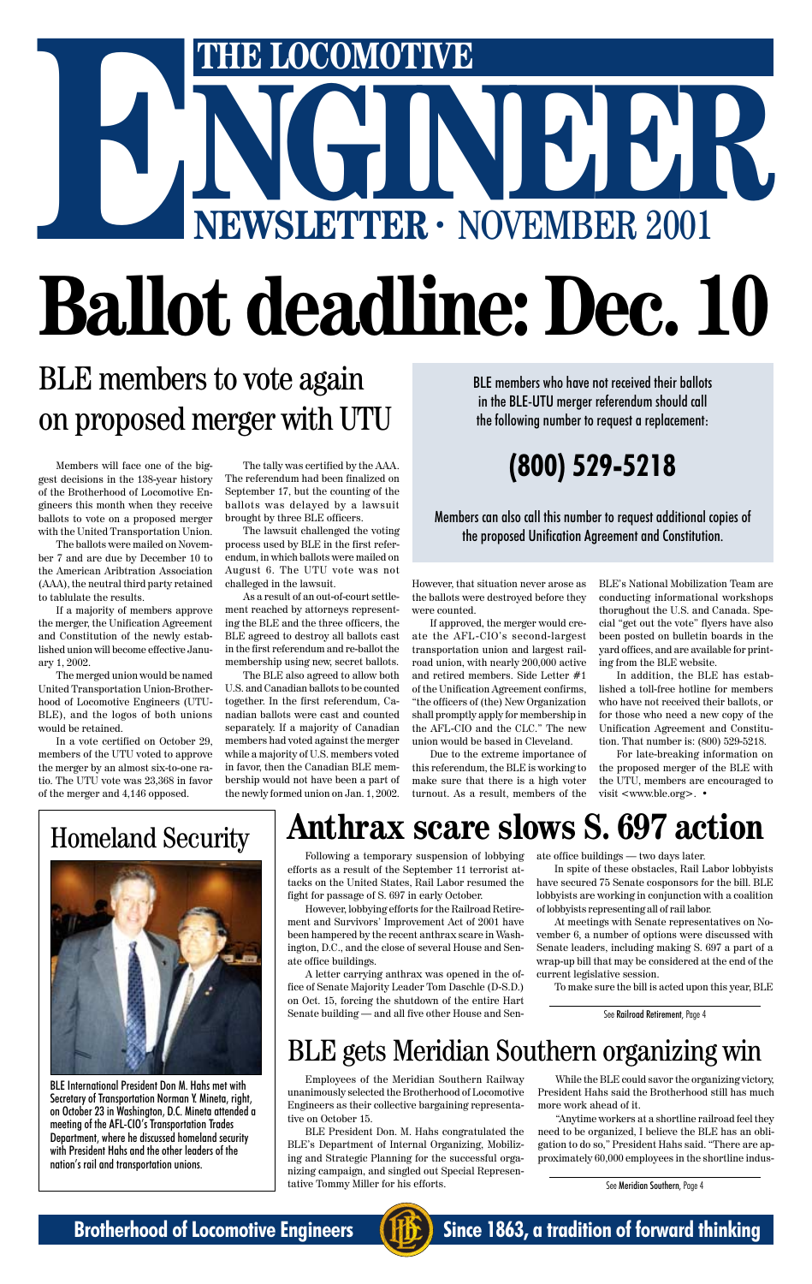## BLE members to vote again on proposed merger with UTU

Employees of the Meridian Southern Railway unanimously selected the Brotherhood of Locomotive Engineers as their collective bargaining representative on October 15.

BLE President Don. M. Hahs congratulated the BLE's Department of Internal Organizing, Mobilizing and Strategic Planning for the successful organizing campaign, and singled out Special Representative Tommy Miller for his efforts.

## BLE gets Meridian Southern organizing win

While the BLE could savor the organizing victory, President Hahs said the Brotherhood still has much more work ahead of it.

"Anytime workers at a shortline railroad feel they need to be organized, I believe the BLE has an obligation to do so," President Hahs said. "There are approximately 60,000 employees in the shortline indus-



BLE International President Don M. Hahs met with Secretary of Transportation Norman Y. Mineta, right, on October 23 in Washington, D.C. Mineta attended a meeting of the AFL-CIO's Transportation Trades Department, where he discussed homeland security with President Hahs and the other leaders of the nation's rail and transportation unions.

## **(800) 529-5218**

BLE members who have not received their ballots in the BLE-UTU merger referendum should call the following number to request a replacement:

Members can also call this number to request additional copies of the proposed Unification Agreement and Constitution.

Members will face one of the biggest decisions in the 138-year history of the Brotherhood of Locomotive Engineers this month when they receive ballots to vote on a proposed merger with the United Transportation Union.

The ballots were mailed on November 7 and are due by December 10 to the American Aribtration Association (AAA), the neutral third party retained to tablulate the results.

If a majority of members approve the merger, the Unification Agreement and Constitution of the newly established union will become effective January 1, 2002.

The merged union would be named United Transportation Union-Brotherhood of Locomotive Engineers (UTU-BLE), and the logos of both unions would be retained.

In a vote certified on October 29, members of the UTU voted to approve the merger by an almost six-to-one ratio. The UTU vote was 23,368 in favor of the merger and 4,146 opposed.

The tally was certified by the AAA. The referendum had been finalized on September 17, but the counting of the ballots was delayed by a lawsuit brought by three BLE officers.

The lawsuit challenged the voting process used by BLE in the first referendum, in which ballots were mailed on August 6. The UTU vote was not challeged in the lawsuit.

# NGINEER - NOVEMBER 2001 **E LOCOMOTIVE NEWSLETTER ·** NOVEMBER 2001 **Ballot deadline: Dec. 10 E**

As a result of an out-of-court settlement reached by attorneys representing the BLE and the three officers, the BLE agreed to destroy all ballots cast in the first referendum and re-ballot the membership using new, secret ballots.

The BLE also agreed to allow both U.S. and Canadian ballots to be counted together. In the first referendum, Canadian ballots were cast and counted separately. If a majority of Canadian members had voted against the merger while a majority of U.S. members voted in favor, then the Canadian BLE membership would not have been a part of the newly formed union on Jan. 1, 2002.

However, that situation never arose as the ballots were destroyed before they were counted.

If approved, the merger would create the AFL-CIO's second-largest transportation union and largest railroad union, with nearly 200,000 active and retired members. Side Letter #1 of the Unification Agreement confirms, "the officers of (the) New Organization shall promptly apply for membership in the AFL-CIO and the CLC." The new union would be based in Cleveland.

Due to the extreme importance of this referendum, the BLE is working to make sure that there is a high voter turnout. As a result, members of the

BLE's National Mobilization Team are conducting informational workshops thorughout the U.S. and Canada. Special "get out the vote" flyers have also been posted on bulletin boards in the yard offices, and are available for printing from the BLE website.

In addition, the BLE has established a toll-free hotline for members who have not received their ballots, or for those who need a new copy of the Unification Agreement and Constitution. That number is: (800) 529-5218.

For late-breaking information on the proposed merger of the BLE with the UTU, members are encouraged to visit <www.ble.org>. •

## **Anthrax scare slows S. 697 action**

Following a temporary suspension of lobbying efforts as a result of the September 11 terrorist attacks on the United States, Rail Labor resumed the fight for passage of S. 697 in early October.

However, lobbying efforts for the Railroad Retirement and Survivors' Improvement Act of 2001 have been hampered by the recent anthrax scare in Wash-

ington, D.C., and the close of several House and Senate office buildings.

A letter carrying anthrax was opened in the office of Senate Majority Leader Tom Daschle (D-S.D.) on Oct. 15, forcing the shutdown of the entire Hart Senate building — and all five other House and Sen-

ate office buildings — two days later.

In spite of these obstacles, Rail Labor lobbyists have secured 75 Senate cosponsors for the bill. BLE lobbyists are working in conjunction with a coalition of lobbyists representing all of rail labor.

At meetings with Senate representatives on November 6, a number of options were discussed with



Senate leaders, including making S. 697 a part of a wrap-up bill that may be considered at the end of the current legislative session.

To make sure the bill is acted upon this year, BLE

See Meridian Southern, Page 4



**Brotherhood of Locomotive Engineers (FIFE)** Since 1863, a tradition of forward thinking

See Railroad Retirement, Page 4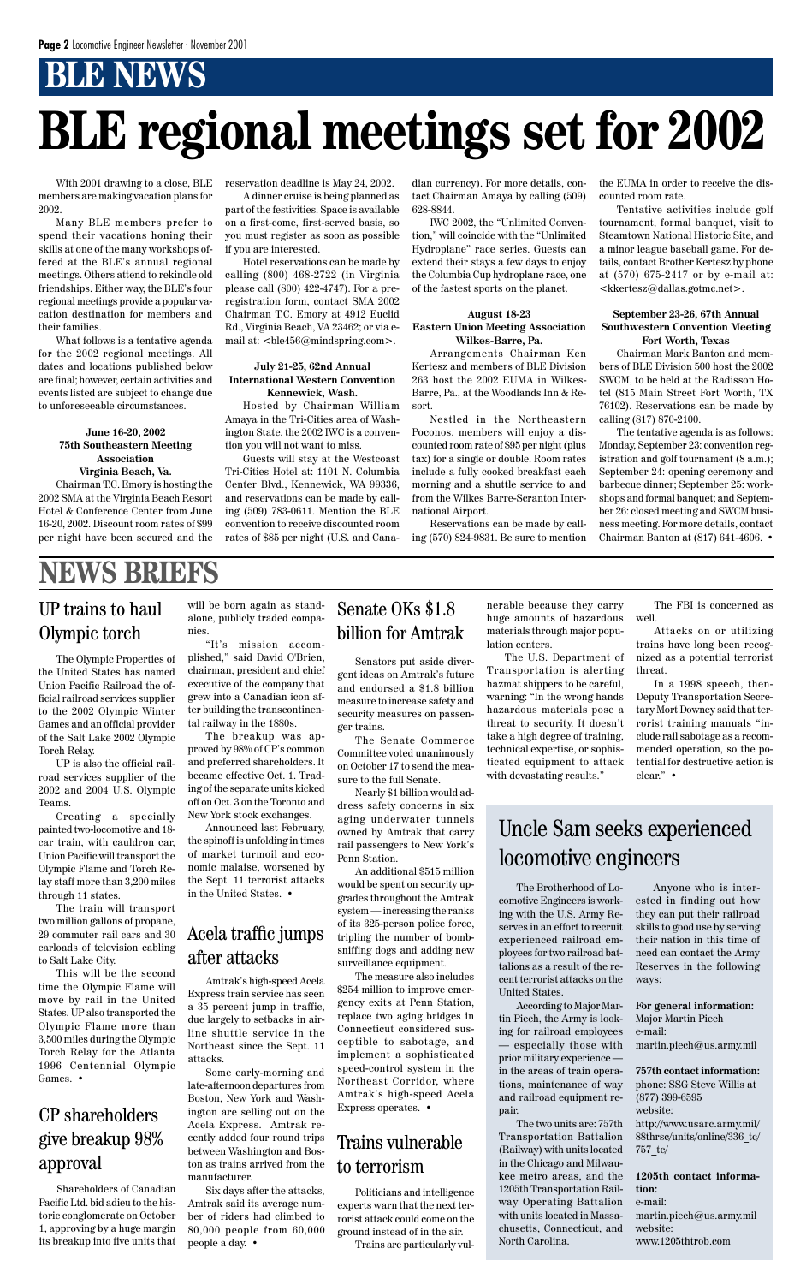## **BLE NEWS**

With 2001 drawing to a close, BLE members are making vacation plans for 2002.

Many BLE members prefer to spend their vacations honing their skills at one of the many workshops offered at the BLE's annual regional meetings. Others attend to rekindle old friendships. Either way, the BLE's four regional meetings provide a popular vacation destination for members and their families.

What follows is a tentative agenda for the 2002 regional meetings. All dates and locations published below are final; however, certain activities and events listed are subject to change due to unforeseeable circumstances.

#### **June 16-20, 2002 75th Southeastern Meeting Association Virginia Beach, Va.**

Chairman T.C. Emory is hosting the 2002 SMA at the Virginia Beach Resort Hotel & Conference Center from June 16-20, 2002. Discount room rates of \$99 per night have been secured and the

# **BLE regional meetings set for 2002**

reservation deadline is May 24, 2002.

A dinner cruise is being planned as part of the festivities. Space is available on a first-come, first-served basis, so you must register as soon as possible if you are interested.

Hotel reservations can be made by calling (800) 468-2722 (in Virginia please call (800) 422-4747). For a preregistration form, contact SMA 2002 Chairman T.C. Emory at 4912 Euclid Rd., Virginia Beach, VA 23462; or via email at: <ble456@mindspring.com>.

#### **July 21-25, 62nd Annual International Western Convention Kennewick, Wash.**

Hosted by Chairman William Amaya in the Tri-Cities area of Washington State, the 2002 IWC is a convention you will not want to miss.

Guests will stay at the Westcoast Tri-Cities Hotel at: 1101 N. Columbia Center Blvd., Kennewick, WA 99336, and reservations can be made by calling (509) 783-0611. Mention the BLE convention to receive discounted room rates of \$85 per night (U.S. and Canadian currency). For more details, contact Chairman Amaya by calling (509) 628-8844.

IWC 2002, the "Unlimited Convention," will coincide with the "Unlimited Hydroplane" race series. Guests can extend their stays a few days to enjoy the Columbia Cup hydroplane race, one of the fastest sports on the planet.

#### **August 18-23 Eastern Union Meeting Association Wilkes-Barre, Pa.**

Arrangements Chairman Ken Kertesz and members of BLE Division 263 host the 2002 EUMA in Wilkes-Barre, Pa., at the Woodlands Inn & Resort.

Nestled in the Northeastern Poconos, members will enjoy a discounted room rate of \$95 per night (plus tax) for a single or double. Room rates include a fully cooked breakfast each morning and a shuttle service to and from the Wilkes Barre-Scranton International Airport.

Reservations can be made by calling (570) 824-9831. Be sure to mention the EUMA in order to receive the discounted room rate.

Tentative activities include golf tournament, formal banquet, visit to Steamtown National Historic Site, and a minor league baseball game. For details, contact Brother Kertesz by phone at (570) 675-2417 or by e-mail at: <kkertesz@dallas.gotmc.net>.

#### **September 23-26, 67th Annual Southwestern Convention Meeting Fort Worth, Texas**

Chairman Mark Banton and members of BLE Division 500 host the 2002 SWCM, to be held at the Radisson Hotel (815 Main Street Fort Worth, TX 76102). Reservations can be made by calling (817) 870-2100.

> The FBI is concerned as well

The tentative agenda is as follows: Monday, September 23: convention registration and golf tournament  $(8 a.m.);$ September 24: opening ceremony and barbecue dinner; September 25: workshops and formal banquet; and September 26: closed meeting and SWCM business meeting. For more details, contact Chairman Banton at (817) 641-4606. •

### Uncle Sam seeks experienced locomotive engineers

## **NEWS BRIEFS**

### UP trains to haul Olympic torch

The Olympic Properties of the United States has named Union Pacific Railroad the official railroad services supplier to the 2002 Olympic Winter Games and an official provider of the Salt Lake 2002 Olympic Torch Relay.

UP is also the official railroad services supplier of the 2002 and 2004 U.S. Olympic Teams.

Creating a specially painted two-locomotive and 18 car train, with cauldron car, Union Pacific will transport the Olympic Flame and Torch Relay staff more than 3,200 miles through 11 states.

The train will transport two million gallons of propane, 29 commuter rail cars and 30

carloads of television cabling to Salt Lake City.

This will be the second time the Olympic Flame will move by rail in the United States. UP also transported the Olympic Flame more than 3,500 miles during the Olympic Torch Relay for the Atlanta 1996 Centennial Olympic Games. •

will be born again as standalone, publicly traded companies.

"It's mission accom-

plished," said David O'Brien, chairman, president and chief executive of the company that grew into a Canadian icon after building the transcontinental railway in the 1880s.

The breakup was approved by 98% of CP's common and preferred shareholders. It became effective Oct. 1. Trading of the separate units kicked off on Oct. 3 on the Toronto and New York stock exchanges.

Announced last February, the spinoff is unfolding in times of market turmoil and economic malaise, worsened by the Sept. 11 terrorist attacks in the United States. •

Senators put aside divergent ideas on Amtrak's future and endorsed a \$1.8 billion measure to increase safety and security measures on passenger trains.

The Senate Commerce Committee voted unanimously on October 17 to send the measure to the full Senate.

Nearly \$1 billion would address safety concerns in six aging underwater tunnels owned by Amtrak that carry rail passengers to New York's Penn Station.

An additional \$515 million would be spent on security upgrades throughout the Amtrak system — increasing the ranks of its 325-person police force, tripling the number of bomb-

sniffing dogs and adding new surveillance equipment.

The measure also includes \$254 million to improve emergency exits at Penn Station, replace two aging bridges in Connecticut considered susceptible to sabotage, and implement a sophisticated speed-control system in the Northeast Corridor, where Amtrak's high-speed Acela Express operates. •

### Senate OKs \$1.8 billion for Amtrak

nerable because they carry huge amounts of hazardous materials through major population centers.

The U.S. Department of Transportation is alerting hazmat shippers to be careful, warning: "In the wrong hands hazardous materials pose a threat to security. It doesn't take a high degree of training, technical expertise, or sophisticated equipment to attack with devastating results."

Attacks on or utilizing trains have long been recognized as a potential terrorist threat.

In a 1998 speech, then-Deputy Transportation Secretary Mort Downey said that terrorist training manuals "include rail sabotage as a recommended operation, so the potential for destructive action is clear." •

The Brotherhood of Locomotive Engineers is working with the U.S. Army Reserves in an effort to recruit experienced railroad em-their nation in this time of ployees for two railroad battalions as a result of the recent terrorist attacks on the United States. According to Major Martin Piech, the Army is looking for railroad employees — especially those with prior military experience in the areas of train operations, maintenance of way and railroad equipment repair. The two units are: 757th Transportation Battalion (Railway) with units located in the Chicago and Milwaukee metro areas, and the 1205th Transportation Railway Operating Battalion with units located in Massachusetts, Connecticut, and North Carolina.

Anyone who is interested in finding out how they can put their railroad skills to good use by serving need can contact the Army Reserves in the following ways:

**For general information:** Major Martin Piech e-mail:

martin.piech@us.army.mil

**757th contact information:** phone: SSG Steve Willis at (877) 399-6595 website:

http://www.usarc.army.mil/ 88thrsc/units/online/336\_tc/ 757\_tc/

**1205th contact information:**

e-mail:

martin.piech@us.army.mil website:

www.1205thtrob.com

Shareholders of Canadian Pacific Ltd. bid adieu to the historic conglomerate on October 1, approving by a huge margin its breakup into five units that

### CP shareholders give breakup 98% approval

Amtrak's high-speed Acela Express train service has seen a 35 percent jump in traffic, due largely to setbacks in airline shuttle service in the Northeast since the Sept. 11 attacks.

Some early-morning and late-afternoon departures from Boston, New York and Washington are selling out on the Acela Express. Amtrak recently added four round trips between Washington and Boston as trains arrived from the manufacturer.

Six days after the attacks, Amtrak said its average number of riders had climbed to 80,000 people from 60,000 people a day. •

#### Acela traffic jumps

### after attacks

Politicians and intelligence experts warn that the next terrorist attack could come on the ground instead of in the air. Trains are particularly vul-

### Trains vulnerable to terrorism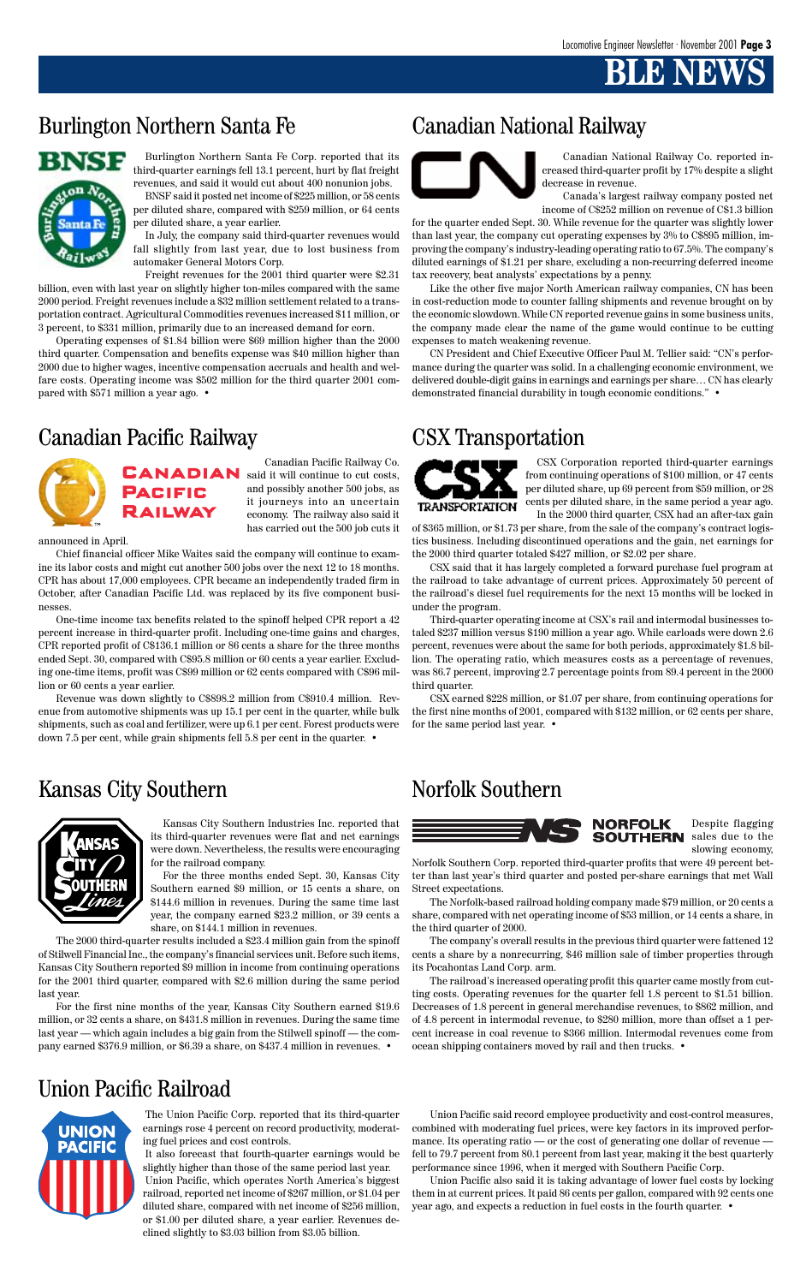## **BLACK**

## Burlington Northern Santa Fe Canadian National Railway



The Union Pacific Corp. reported that its third-quarter earnings rose 4 percent on record productivity, moderating fuel prices and cost controls.

It also forecast that fourth-quarter earnings would be slightly higher than those of the same period last year. Union Pacific, which operates North America's biggest railroad, reported net income of \$267 million, or \$1.04 per diluted share, compared with net income of \$256 million, or \$1.00 per diluted share, a year earlier. Revenues declined slightly to \$3.03 billion from \$3.05 billion.

Canadian National Railway Co. reported increased third-quarter profit by 17% despite a slight decrease in revenue.

Canada's largest railway company posted net income of C\$252 million on revenue of C\$1.3 billion

for the quarter ended Sept. 30. While revenue for the quarter was slightly lower than last year, the company cut operating expenses by 3% to C\$895 million, improving the company's industry-leading operating ratio to 67.5%. The company's diluted earnings of \$1.21 per share, excluding a non-recurring deferred income tax recovery, beat analysts' expectations by a penny.

Like the other five major North American railway companies, CN has been in cost-reduction mode to counter falling shipments and revenue brought on by the economic slowdown. While CN reported revenue gains in some business units, the company made clear the name of the game would continue to be cutting expenses to match weakening revenue.

CN President and Chief Executive Officer Paul M. Tellier said: "CN's performance during the quarter was solid. In a challenging economic environment, we delivered double-digit gains in earnings and earnings per share… CN has clearly demonstrated financial durability in tough economic conditions." •



Canadian Pacific Railway Co. **CANADIAN** said it will continue to cut costs, and possibly another 500 jobs, as **PACIFIC** it journeys into an uncertain **RAILWAY** economy. The railway also said it has carried out the 500 job cuts it

announced in April.

Chief financial officer Mike Waites said the company will continue to examine its labor costs and might cut another 500 jobs over the next 12 to 18 months. CPR has about 17,000 employees. CPR became an independently traded firm in October, after Canadian Pacific Ltd. was replaced by its five component businesses.

One-time income tax benefits related to the spinoff helped CPR report a 42 percent increase in third-quarter profit. Including one-time gains and charges, CPR reported profit of C\$136.1 million or 86 cents a share for the three months ended Sept. 30, compared with C\$95.8 million or 60 cents a year earlier. Excluding one-time items, profit was C\$99 million or 62 cents compared with C\$96 million or 60 cents a year earlier.

Revenue was down slightly to C\$898.2 million from C\$910.4 million. Revenue from automotive shipments was up 15.1 per cent in the quarter, while bulk shipments, such as coal and fertilizer, were up 6.1 per cent. Forest products were down 7.5 per cent, while grain shipments fell 5.8 per cent in the quarter. •

### Kansas City Southern Norfolk Southern



CSX Corporation reported third-quarter earnings from continuing operations of \$100 million, or 47 cents per diluted share, up 69 percent from \$59 million, or 28 cents per diluted share, in the same period a year ago. In the 2000 third quarter, CSX had an after-tax gain

of \$365 million, or \$1.73 per share, from the sale of the company's contract logistics business. Including discontinued operations and the gain, net earnings for the 2000 third quarter totaled \$427 million, or \$2.02 per share.

CSX said that it has largely completed a forward purchase fuel program at the railroad to take advantage of current prices. Approximately 50 percent of the railroad's diesel fuel requirements for the next 15 months will be locked in under the program.

Third-quarter operating income at CSX's rail and intermodal businesses totaled \$237 million versus \$190 million a year ago. While carloads were down 2.6 percent, revenues were about the same for both periods, approximately \$1.8 billion. The operating ratio, which measures costs as a percentage of revenues, was 86.7 percent, improving 2.7 percentage points from 89.4 percent in the 2000 third quarter.

CSX earned \$228 million, or \$1.07 per share, from continuing operations for the first nine months of 2001, compared with \$132 million, or 62 cents per share, for the same period last year. •



Kansas City Southern Industries Inc. reported that its third-quarter revenues were flat and net earnings were down. Nevertheless, the results were encouraging for the railroad company.

For the three months ended Sept. 30, Kansas City Southern earned \$9 million, or 15 cents a share, on \$144.6 million in revenues. During the same time last year, the company earned \$23.2 million, or 39 cents a share, on \$144.1 million in revenues.

The 2000 third-quarter results included a \$23.4 million gain from the spinoff



of Stilwell Financial Inc., the company's financial services unit. Before such items, Kansas City Southern reported \$9 million in income from continuing operations for the 2001 third quarter, compared with \$2.6 million during the same period last year.

For the first nine months of the year, Kansas City Southern earned \$19.6 million, or 32 cents a share, on \$431.8 million in revenues. During the same time last year — which again includes a big gain from the Stilwell spinoff — the company earned \$376.9 million, or \$6.39 a share, on \$437.4 million in revenues. •

Burlington Northern Santa Fe Corp. reported that its third-quarter earnings fell 13.1 percent, hurt by flat freight revenues, and said it would cut about 400 nonunion jobs. BNSF said it posted net income of \$225 million, or 58 cents per diluted share, compared with \$259 million, or 64 cents

per diluted share, a year earlier. In July, the company said third-quarter revenues would fall slightly from last year, due to lost business from automaker General Motors Corp.

Freight revenues for the 2001 third quarter were \$2.31 billion, even with last year on slightly higher ton-miles compared with the same 2000 period. Freight revenues include a \$32 million settlement related to a transportation contract. Agricultural Commodities revenues increased \$11 million, or 3 percent, to \$331 million, primarily due to an increased demand for corn.

Operating expenses of \$1.84 billion were \$69 million higher than the 2000 third quarter. Compensation and benefits expense was \$40 million higher than 2000 due to higher wages, incentive compensation accruals and health and welfare costs. Operating income was \$502 million for the third quarter 2001 compared with \$571 million a year ago. •

> Despite flagging **SOUTHERN** sales due to the slowing economy,

Norfolk Southern Corp. reported third-quarter profits that were 49 percent better than last year's third quarter and posted per-share earnings that met Wall Street expectations.

The Norfolk-based railroad holding company made \$79 million, or 20 cents a share, compared with net operating income of \$53 million, or 14 cents a share, in the third quarter of 2000.

The company's overall results in the previous third quarter were fattened 12

cents a share by a nonrecurring, \$46 million sale of timber properties through its Pocahontas Land Corp. arm.

The railroad's increased operating profit this quarter came mostly from cutting costs. Operating revenues for the quarter fell 1.8 percent to \$1.51 billion. Decreases of 1.8 percent in general merchandise revenues, to \$862 million, and of 4.8 percent in intermodal revenue, to \$280 million, more than offset a 1 percent increase in coal revenue to \$366 million. Intermodal revenues come from ocean shipping containers moved by rail and then trucks. •

### Canadian Pacific Railway CSX Transportation



Union Pacific said record employee productivity and cost-control measures, combined with moderating fuel prices, were key factors in its improved performance. Its operating ratio — or the cost of generating one dollar of revenue fell to 79.7 percent from 80.1 percent from last year, making it the best quarterly performance since 1996, when it merged with Southern Pacific Corp.

Union Pacific also said it is taking advantage of lower fuel costs by locking them in at current prices. It paid 86 cents per gallon, compared with 92 cents one year ago, and expects a reduction in fuel costs in the fourth quarter. •

## Union Pacific Railroad

UNION **PACIFIC**